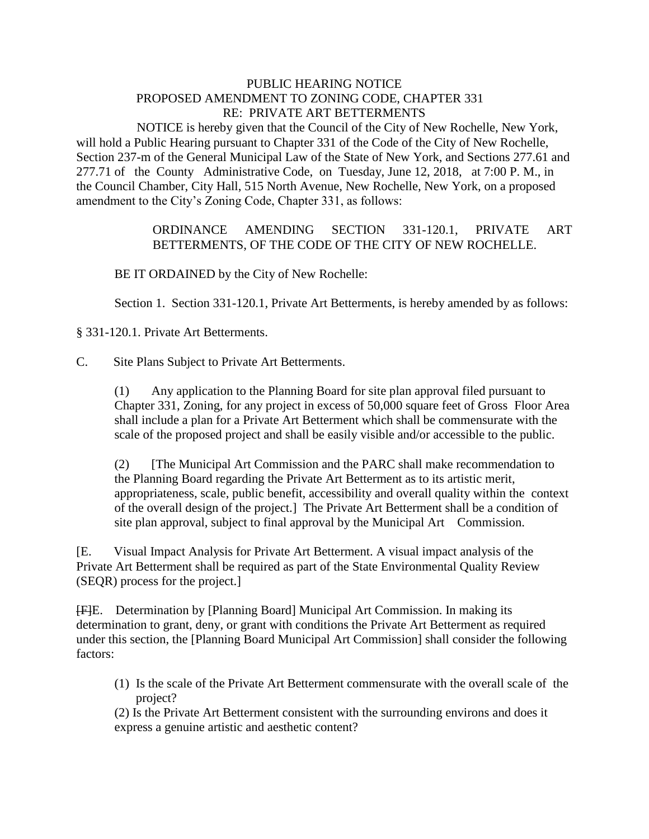## PUBLIC HEARING NOTICE PROPOSED AMENDMENT TO ZONING CODE, CHAPTER 331 RE: PRIVATE ART BETTERMENTS

 NOTICE is hereby given that the Council of the City of New Rochelle, New York, will hold a Public Hearing pursuant to Chapter 331 of the Code of the City of New Rochelle, Section 237-m of the General Municipal Law of the State of New York, and Sections 277.61 and 277.71 of the County Administrative Code, on Tuesday, June 12, 2018, at 7:00 P. M., in the Council Chamber, City Hall, 515 North Avenue, New Rochelle, New York, on a proposed amendment to the City's Zoning Code, Chapter 331, as follows:

## ORDINANCE AMENDING SECTION 331-120.1, PRIVATE ART BETTERMENTS, OF THE CODE OF THE CITY OF NEW ROCHELLE.

BE IT ORDAINED by the City of New Rochelle:

Section 1. Section 331-120.1, Private Art Betterments, is hereby amended by as follows:

§ 331-120.1. Private Art Betterments.

C. Site Plans Subject to Private Art Betterments.

 (1) Any application to the Planning Board for site plan approval filed pursuant to Chapter 331, Zoning, for any project in excess of 50,000 square feet of Gross Floor Area shall include a plan for a Private Art Betterment which shall be commensurate with the scale of the proposed project and shall be easily visible and/or accessible to the public.

 (2) [The Municipal Art Commission and the PARC shall make recommendation to the Planning Board regarding the Private Art Betterment as to its artistic merit, appropriateness, scale, public benefit, accessibility and overall quality within the context of the overall design of the project.] The Private Art Betterment shall be a condition of site plan approval, subject to final approval by the Municipal Art Commission.

[E. Visual Impact Analysis for Private Art Betterment. A visual impact analysis of the Private Art Betterment shall be required as part of the State Environmental Quality Review (SEQR) process for the project.]

[F]E. Determination by [Planning Board] Municipal Art Commission. In making its determination to grant, deny, or grant with conditions the Private Art Betterment as required under this section, the [Planning Board Municipal Art Commission] shall consider the following factors:

(1) Is the scale of the Private Art Betterment commensurate with the overall scale of the project?

(2) Is the Private Art Betterment consistent with the surrounding environs and does it express a genuine artistic and aesthetic content?